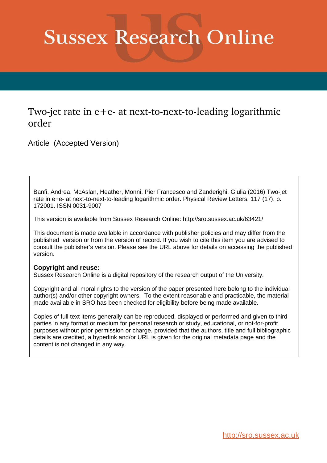# **Sussex Research Online**

## Two-jet rate in e+e- at next-to-next-to-leading logarithmic order

Article (Accepted Version)

Banfi, Andrea, McAslan, Heather, Monni, Pier Francesco and Zanderighi, Giulia (2016) Two-jet rate in e+e- at next-to-next-to-leading logarithmic order. Physical Review Letters, 117 (17). p. 172001. ISSN 0031-9007

This version is available from Sussex Research Online: http://sro.sussex.ac.uk/63421/

This document is made available in accordance with publisher policies and may differ from the published version or from the version of record. If you wish to cite this item you are advised to consult the publisher's version. Please see the URL above for details on accessing the published version.

### **Copyright and reuse:**

<span id="page-0-0"></span>Sussex Research Online is a digital repository of the research output of the University.

Copyright and all moral rights to the version of the paper presented here belong to the individual author(s) and/or other copyright owners. To the extent reasonable and practicable, the material made available in SRO has been checked for eligibility before being made available.

<span id="page-0-1"></span>Copies of full text items generally can be reproduced, displayed or performed and given to third parties in any format or medium for personal research or study, educational, or not-for-profit purposes without prior permission or charge, provided that the authors, title and full bibliographic details are credited, a hyperlink and/or URL is given for the original metadata page and the content is not changed in any way.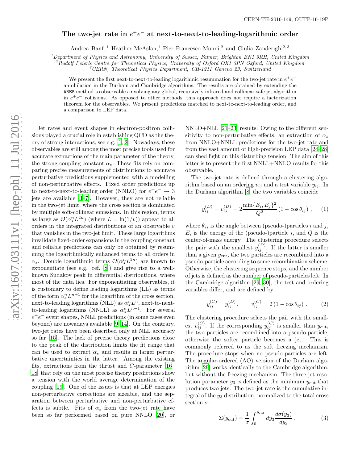## The two-jet rate in  $e^+e^-$  at next-to-next-to-leading-logarithmic order

Andrea Banfi,<sup>1</sup> Heather McAslan,<sup>1</sup> Pier Francesco Monni,<sup>2</sup> and Giulia Zanderighi<sup>2,3</sup>

<sup>1</sup>Department of Physics and Astronomy, University of Sussex, Falmer, Brighton BN1 9RH, United Kingdom<br><sup>2</sup>Rudolf Peierls Centre for Theoretical Physics, University of Oxford OX1 3PN Oxford, United Kingdom<br><sup>3</sup>CERN, Theoret

We present the first next-to-next-to-leading logarithmic resummation for the two-jet rate in  $e^+e^$ annihilation in the Durham and Cambridge algorithms. The results are obtained by extending the ARES method to observables involving any global, recursively infrared and collinear safe jet algorithm in  $e^+e^-$  collisions. As opposed to other methods, this approach does not require a factorization theorem for the observables. We present predictions matched to next-to-next-to-leading order, and a comparison to LEP data.

Jet rates and event shapes in electron-positron collisions played a crucial role in establishing QCD as the theory of strong interactions, see e.g. [\[1,](#page-4-0) [2](#page-4-1)]. Nowadays, these observables are still among the most precise tools used for accurate extractions of the main parameter of the theory, the strong coupling constant  $\alpha_s$ . These fits rely on comparing precise measurements of distributions to accurate perturbative predictions supplemented with a modelling of non-perturbative effects. Fixed order predictions up to next-to-next-to-leading order (NNLO) for  $e^+e^- \rightarrow 3$ jets are available [\[3](#page-4-2)[–7\]](#page-4-3). However, they are not reliable in the two-jet limit, where the cross section is dominated by multiple soft-collinear emissions. In this region, terms as large as  $\mathcal{O}(\alpha_s^n L^{2n})$  (where  $L = \ln(1/v)$ ) appear to all orders in the integrated distributions of an observable  $v$ that vanishes in the two-jet limit. These large logarithms invalidate fixed-order expansions in the coupling constant and reliable predictions can only be obtained by resumming the logarithmically enhanced terms to all orders in  $\alpha_s$ . Double logarithmic terms  $\mathcal{O}(\alpha_s^n L^{2n})$  are known to exponentiate (see e.g. ref. [\[8\]](#page-4-4)) and give rise to a wellknown Sudakov peak in differential distributions, where most of the data lies. For exponentiating observables, it is customary to define leading logarithms (LL) as terms of the form  $\alpha_s^n L^{n+1}$  for the logarithm of the cross section, next-to-leading logarithms (NLL) as  $\alpha_s^n L^n$ , next-to-nextto-leading logarithms (NNLL) as  $\alpha_s^n L^{n-1}$ . For several  $e^+e^-$  event shapes, NNLL predictions (in some cases even beyond) are nowadays available [\[9](#page-4-5)[–14](#page-4-6)]. On the contrary, two-jet rates have been described only at NLL accuracy so far [\[15\]](#page-4-7). The lack of precise theory predictions close to the peak of the distribution limits the fit range that can be used to extract  $\alpha_s$  and results in larger perturbative uncertainties in the latter. Among the existing fits, extractions from the thrust and C-parameter [\[16](#page-4-8)– [18\]](#page-4-9) that rely on the most precise theory predictions show a tension with the world average determination of the coupling [\[19\]](#page-4-10). One of the issues is that at LEP energies non-perturbative corrections are sizeable, and the separation between perturbative and non-perturbative effects is subtle. Fits of  $\alpha_s$  from the two-jet rate have been so far performed based on pure NNLO [\[20\]](#page-4-11), or

NNLO+NLL [\[21](#page-4-12)[–23\]](#page-4-13) results. Owing to the different sensitivity to non-perturbative effects, an extraction of  $\alpha_s$ from NNLO+NNLL predictions for the two-jet rate and from the vast amount of high-precision LEP data [\[24](#page-4-14)[–28\]](#page-4-15) can shed light on this disturbing tension. The aim of this letter is to present the first NNLL+NNLO results for this observable.

<span id="page-1-0"></span>The two-jet rate is defined through a clustering algorithm based on an ordering  $v_{ij}$  and a test variable  $y_{ij}$ . In the Durham algorithm [\[8\]](#page-4-4) the two variables coincide

$$
y_{ij}^{(D)} = v_{ij}^{(D)} = 2 \frac{\min\{E_i, E_j\}^2}{Q^2} \left(1 - \cos \theta_{ij}\right), \quad (1)
$$

where  $\theta_{ij}$  is the angle between (pseudo-)particles i and j,  $E_i$  is the energy of the (pseudo-)particle i, and Q is the center-of-mass energy. The clustering procedure selects the pair with the smallest  $y_{ij}^{(D)}$ . If the latter is smaller than a given  $y_{\text{cut}}$ , the two particles are recombined into a pseudo-particle according to some recombination scheme. Otherwise, the clustering sequence stops, and the number of jets is defined as the number of pseudo-particles left. In the Cambridge algorithm [\[29,](#page-4-16) [30](#page-4-17)], the test and ordering variables differ, and are defined by

$$
y_{ij}^{(C)} = y_{ij}^{(D)}, \qquad v_{ij}^{(C)} = 2(1 - \cos \theta_{ij}). \tag{2}
$$

The clustering procedure selects the pair with the smallest  $v_{ij}^{(C)}$ . If the corresponding  $y_{ij}^{(C)}$  is smaller than  $y_{\text{cut}}$ , the two particles are recombined into a pseudo-particle, otherwise the softer particle becomes a jet. This is commonly referred to as the soft freezing mechanism. The procedure stops when no pseudo-particles are left. The angular-ordered (AO) version of the Durham algorithm [\[29\]](#page-4-16) works identically to the Cambridge algorithm, but without the freezing mechanism. The three-jet resolution parameter  $y_3$  is defined as the minimum  $y_{\text{cut}}$  that produces two jets. The two-jet rate is the cumulative integral of the  $y_3$  distribution, normalized to the total cross section  $\sigma$ :

$$
\Sigma(y_{\text{cut}}) = \frac{1}{\sigma} \int_0^{y_{\text{cut}}} dy_3 \frac{d\sigma(y_3)}{dy_3}.
$$
 (3)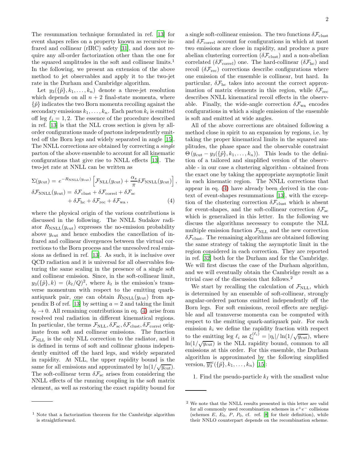The resummation technique formulated in ref. [\[13\]](#page-4-18) for event shapes relies on a property known as recursive infrared and collinear (rIRC) safety [\[31\]](#page-4-19), and does not require any all-order factorization other than the one for the squared amplitudes in the soft and collinear limits.<sup>1</sup> In the following, we present an extension of the above method to jet observables and apply it to the two-jet rate in the Durham and Cambridge algorithm.

Let  $y_3(\{\tilde{p}\}, k_1, \ldots, k_n)$  denote a three-jet resolution which depends on all  $n + 2$  final-state momenta, where  $\{\tilde{p}\}\$ indicates the two Born momenta recoiling against the secondary emissions  $k_1, \ldots, k_n$ . Each parton  $k_i$  is emitted off leg  $\ell_i = 1, 2$ . The essence of the procedure described in ref. [\[13\]](#page-4-18) is that the NLL cross section is given by allorder configurations made of partons independently emitted off the Born legs and widely separated in angle [\[15\]](#page-4-7). The NNLL corrections are obtained by correcting a single parton of the above ensemble to account for all kinematic configurations that give rise to NNLL effects [\[13\]](#page-4-18). The two-jet rate at NNLL can be written as

$$
\Sigma(y_{\text{cut}}) = e^{-R_{\text{NNLL}}(y_{\text{cut}})} \left[ \mathcal{F}_{\text{NLL}}(y_{\text{cut}}) + \frac{\alpha_s}{\pi} \delta \mathcal{F}_{\text{NNLL}}(y_{\text{cut}}) \right],
$$
  

$$
\delta \mathcal{F}_{\text{NNLL}}(y_{\text{cut}}) = \delta \mathcal{F}_{\text{clust}} + \delta \mathcal{F}_{\text{core}} + \delta \mathcal{F}_{\text{sc}}
$$

$$
+ \delta \mathcal{F}_{\text{hc}} + \delta \mathcal{F}_{\text{rec}} + \delta \mathcal{F}_{\text{wa}} , \tag{4}
$$

where the physical origin of the various contributions is discussed in the following. The NNLL Sudakov radiator  $R_{\text{NNLL}}(y_{\text{cut}})$  expresses the no-emission probability above  $y_{\text{cut}}$  and hence embodies the cancellation of infrared and collinear divergences between the virtual corrections to the Born process and the unresolved real emissions as defined in ref. [\[13](#page-4-18)]. As such, it is inclusive over QCD radiation and it is universal for all observables featuring the same scaling in the presence of a single soft and collinear emission. Since, in the soft-collinear limit,  $y_3(\{\tilde{p}\},k) = (k_t/Q)^2$ , where  $k_t$  is the emission's transverse momentum with respect to the emitting quarkantiquark pair, one can obtain  $R_{NNLL}(y_{\text{cut}})$  from ap-pendix B of ref. [\[13](#page-4-18)] by setting  $a = 2$  and taking the limit  $b_{\ell} \rightarrow 0$ . All remaining contributions in eq. [\(4\)](#page-1-0) arise from resolved real radiation in different kinematical regions. In particular, the terms  $\mathcal{F}_{\text{NLL}}$ ,  $\delta \mathcal{F}_{\text{sc}}$ ,  $\delta \mathcal{F}_{\text{clust}}$ ,  $\delta \mathcal{F}_{\text{correl}}$  originate from soft and collinear emissions. The function  $\mathcal{F}_{\text{NLL}}$  is the only NLL correction to the radiator, and it is defined in terms of soft and collinear gluons independently emitted off the hard legs, and widely separated in rapidity. At NLL, the upper rapidity bound is the same for all emissions and approximated by  $\ln(1/\sqrt{y_{\text{cut}}})$ . The soft-collinear term  $\delta \mathcal{F}_{\rm sc}$  arises from considering the NNLL effects of the running coupling in the soft matrix element, as well as restoring the exact rapidity bound for a single soft-collinear emission. The two functions  $\delta \mathcal{F}_{\text{clust}}$ and  $\delta \mathcal{F}_{\text{correl}}$  account for configurations in which at most two emissions are close in rapidity, and produce a pure abelian clustering correction  $(\delta \mathcal{F}_{\text{clust}})$  and a non-abelian correlated ( $\delta \mathcal{F}_{\text{correl}}$ ) one. The hard-collinear ( $\delta \mathcal{F}_{\text{hc}}$ ) and recoil  $(\delta \mathcal{F}_{\text{rec}})$  corrections describe configurations where one emission of the ensemble is collinear, but hard. In particular,  $\delta F_{\text{hc}}$  takes into account the correct approximation of matrix elements in this region, while  $\delta \mathcal{F}_{\text{rec}}$ describes NNLL kinematical recoil effects in the observable. Finally, the wide-angle correction  $\delta \mathcal{F}_{wa}$  encodes configurations in which a single emission of the ensemble is soft and emitted at wide angles.

All of the above corrections are obtained following a method close in spirit to an expansion by regions, i.e. by taking the proper kinematical limits in the squared amplitudes, the phase space and the observable constraint  $\Theta(y_{\text{cut}}-y_3(\{\tilde{p}\},k_1,\ldots,k_n)).$  This leads to the definition of a tailored and simplified version of the observable - in our case a clustering algorithm - obtained from the exact one by taking the appropriate asymptotic limit in each kinematic region. The NNLL corrections that appear in eq. [\(4\)](#page-1-0) have already been derived in the context of event-shapes resummations [\[13](#page-4-18)], with the exception of the clustering correction  $\delta \mathcal{F}_{\text{clust}}$  which is absent for event-shapes, and the soft-collinear correction  $\delta \mathcal{F}_{\rm sc}$ which is generalized in this letter. In the following we discuss the algorithms necessary to compute the NLL multiple emission function  $\mathcal{F}_{\text{NLL}}$  and the new correction  $\delta \mathcal{F}_{\text{clust}}$ . The remaining algorithms are obtained following the same strategy of taking the asymptotic limit in the region considered in each correction. They are reported in ref. [\[32\]](#page-4-20) both for the Durham and for the Cambridge. We will first discuss the case of the Durham algorithm, and we will eventually obtain the Cambridge result as a trivial case of the discussion that follows.<sup>2</sup>

We start by recalling the calculation of  $\mathcal{F}_{\text{NLL}}$ , which is determined by an ensemble of soft-collinear, strongly angular-ordered partons emitted independently off the Born legs. For soft emissions, recoil effects are negligible and all transverse momenta can be computed with respect to the emitting quark-antiquark pair. For each emission  $k_i$  we define the rapidity fraction with respect to the emitting leg  $\ell_i$  as  $\xi_i^{(\ell_i)} = |\eta_i| / \ln(1/\sqrt{y_{\text{cut}}})$ , where  $\ln(1/\sqrt{y_{\text{cut}}})$  is the NLL rapidity bound, common to all emissions at this order. For this ensemble, the Durham algorithm is approximated by the following simplified version,  $\overline{y}_3^{\text{sc}}(\{\tilde{p}\}, k_1, \ldots, k_n)$  [\[15\]](#page-4-7):

1. Find the pseudo-particle  $k_I$  with the smallest value

<sup>1</sup> Note that a factorization theorem for the Cambridge algorithm is straightforward.

<sup>2</sup> We note that the NNLL results presented in this letter are valid for all commonly used recombination schemes in  $e^+e^-$  collisions (schemes  $E, E_0, P, P_0, cf.$  ref. [\[8](#page-4-4)] for their definition), while their NNLO counterpart depends on the recombination scheme.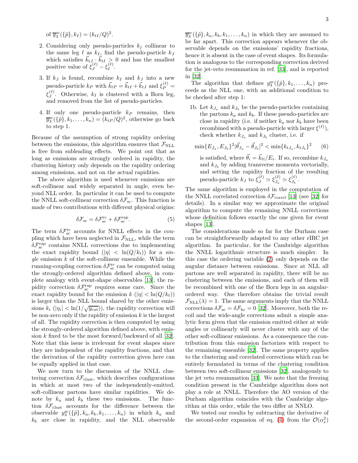of  $\overline{y}_3^{\text{sc}}(\{\tilde{p}\}, k_I) = (k_{tI}/Q)^2$ .

- 2. Considering only pseudo-particles  $k_i$  collinear to the same leg  $\ell$  as  $k_I$ , find the pseudo-particle  $k_J$ which satisfies  $\vec{k}_{tJ}$   $\vec{k}_{tJ}$   $\geq 0$  and has the smallest positive value of  $\xi_J^{(\ell)} - \xi_I^{(\ell)}$  $I^{(i)}$ .
- 3. If  $k_j$  is found, recombine  $k_j$  and  $k_j$  into a new pseudo-particle  $k_P$  with  $\vec{k}_{tP} = \vec{k}_{tI} + \vec{k}_{tJ}$  and  $\xi_P^{(\ell)} =$  $\xi_I^{(\ell)}$  $J^{(c)}$ . Otherwise,  $k_I$  is clustered with a Born leg, and removed from the list of pseudo-particles.
- 4. If only one pseudo-particle  $k_P$  remains, then  $\overline{y}_3^{\text{sc}}(\{\tilde{p}\}, k_1, \ldots, k_n) = (k_{tP}/Q)^2$ , otherwise go back to step 1.

Because of the assumption of strong rapidity ordering between the emissions, this algorithm ensures that  $\mathcal{F}_{\text{NLL}}$ is free from subleading effects. We point out that as long as emissions are strongly ordered in rapidity, the clustering history only depends on the rapidity ordering among emissions, and not on the actual rapidities.

The above algorithm is used whenever emissions are soft-collinear and widely separated in angle, even beyond NLL order. In particular it can be used to compute the NNLL soft-collinear correction  $\delta \mathcal{F}_{\rm sc}$ . This function is made of two contributions with different physical origins:

$$
\delta \mathcal{F}_{\rm sc} = \delta \mathcal{F}_{\rm sc}^{\rm rc} + \delta \mathcal{F}_{\rm sc}^{\rm rap}.
$$
 (5)

The term  $\delta \mathcal{F}_{\rm sc}^{\rm rc}$  accounts for NNLL effects in the coupling which have been neglected in  $\mathcal{F}_{\text{NLL}}$ , while the term  $\delta \mathcal{F}^{\text{rap}}_{\text{sc}}$  contains NNLL corrections due to implementing the exact rapidity bound  $(|\eta| < \ln(Q/k_t))$  for a sin $gle$  emission  $k$  of the soft-collinear ensemble. While the running-coupling correction  $\delta \mathcal{F}^{\rm rc}_{\rm sc}$  can be computed using the strongly-ordered algorithm defined above, in complete analogy with event-shape observables [\[13\]](#page-4-18), the rapidity correction  $\delta \mathcal{F}_{\rm sc}^{\rm rap}$  requires some care. Since the exact rapidity bound for the emission  $k$  ( $|\eta| < \ln(Q/k_t)$ ) is larger than the NLL bound shared by the other emissions  $k_i$  ( $|\eta_i|$  < ln(1/ $\sqrt{y_{\text{cut}}}$ )), the rapidity correction will be non-zero only if the rapidity of emission  $k$  is the largest of all. The rapidity correction is then computed by using the strongly-ordered algorithm defined above, with emission k fixed to be the most forward/backward of all [\[32\]](#page-4-20). Note that this issue is irrelevant for event shapes since they are independent of the rapidity fractions, and that the derivation of the rapidity correction given here can be equally applied in that case.

We now turn to the discussion of the NNLL clustering correction  $\delta \mathcal{F}_{\text{clust}}$ , which describes configurations in which at most two of the independently-emitted, soft-collinear partons have similar rapidities. We denote by  $k_a$  and  $k_b$  these two emissions. The function  $\delta \mathcal{F}_{\text{clust}}$  accounts for the difference between the observable  $y_3^{\rm sc}(\{\tilde{p}\}, k_a, k_b, k_1, \ldots, k_n)$  in which  $k_a$  and  $k_b$  are close in rapidity, and the NLL observable

 $\overline{y}_3^{\text{sc}}(\{\tilde{p}\}, k_a, k_b, k_1, \ldots, k_n)$  in which they are assumed to be far apart. This correction appears whenever the observable depends on the emissions' rapidity fractions, hence it is absent in the case of event shapes. Its formulation is analogous to the corresponding correction derived for the jet-veto resummation in ref. [\[33](#page-4-21)], and is reported in [\[32\]](#page-4-20).

The algorithm that defines  $y_3^{\rm sc}(\{\tilde{p}\},k_1,\ldots,k_n)$  proceeds as the NLL one, with an additional condition to be checked after step 1:

1b. Let  $k_{J_a}$  and  $k_{J_b}$  be the pseudo-particles containing the partons  $k_a$  and  $k_b$ . If these pseudo-particles are close in rapidity (i.e. if neither  $k_a$  nor  $k_b$  have been recombined with a pseudo-particle with larger  $\xi^{(\ell)}$ , check whether  $k_{J_a}$  and  $k_{J_b}$  cluster, i.e. if

$$
\min\{E_{J_a}, E_{J_b}\}^2 |\vec{\theta}_{J_a} - \vec{\theta}_{J_b}|^2 < \min\{k_{tJ_a}, k_{tJ_b}\}^2 \tag{6}
$$

is satisfied, where  $\vec{\theta}_i = \vec{k}_{ti}/E_i$ . If so, recombine  $k_{J_a}$ and  $k_{J_b}$  by adding transverse momenta vectorially, and setting the rapidity fraction of the resulting pseudo-particle  $k_J$  to  $\xi_J^{(\ell)} \simeq \xi_{J_a}^{(\ell)}$  $\frac{(\ell)}{J_a} \simeq \xi_{J_b}^{(\ell)}$  $J_b$ .

The same algorithm is employed in the computation of the NNLL correlated correction  $\delta \mathcal{F}_{\text{correl}}$  [\[13\]](#page-4-18) (see [\[32](#page-4-20)] for details). In a similar way we approximate the original algorithm to compute the remaining NNLL corrections whose definition follows exactly the one given for event shapes [\[13\]](#page-4-18).

The considerations made so far for the Durham case can be straightforwardly adapted to any other rIRC jet algorithm. In particular, for the Cambridge algorithm the NNLL logarithmic structure is much simpler. In this case the ordering variable [\(2\)](#page-0-0) only depends on the angular distance between emissions. Since at NLL all partons are well separated in rapidity, there will be no clustering between the emissions, and each of them will be recombined with one of the Born legs in an angularordered way. One therefore obtains the trivial result  $\mathcal{F}_{\text{NLL}}(\lambda) = 1$ . The same arguments imply that the NNLL corrections  $\delta \mathcal{F}_{\rm sc} = \delta \mathcal{F}_{\rm hc} = 0$  [\[32](#page-4-20)]. Moreover, both the recoil and the wide-angle corrections admit a simple analytic form given that the emission emitted either at wide angles or collinearly will never cluster with any of the other soft-collinear emissions. As a consequence the contribution from this emission factorizes with respect to the remaining ensemble [\[32\]](#page-4-20). The same property applies to the clustering and correlated corrections which can be entirely formulated in terms of the clustering condition between two soft-collinear emissions [\[32](#page-4-20)], analogously to the jet veto resummation [\[33\]](#page-4-21). We note that the freezing condition present in the Cambridge algorithm does not play a role at NNLL. Therefore the AO version of the Durham algorithm coincides with the Cambridge algorithm at this order, while the two differ at NNLO.

We tested our results by subtracting the derivative of the second-order expansion of eq. [\(4\)](#page-1-0) from the  $\mathcal{O}(\alpha_s^2)$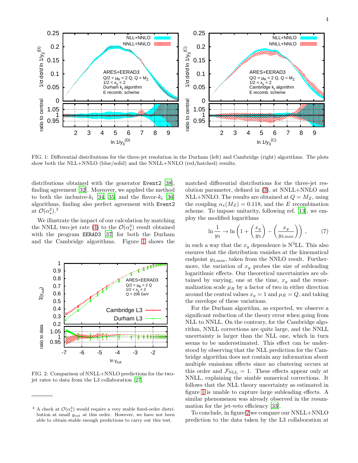

FIG. 1: Differential distributions for the three-jet resolution in the Durham (left) and Cambridge (right) algorithms. The plots show both the NLL+NNLO (blue/solid) and the NNLL+NNLO (red/hatched) results.

distributions obtained with the generator Event2 [\[38\]](#page-4-22), finding agreement [\[32](#page-4-20)]. Moreover, we applied the method to both the inclusive- $k_t$  [\[34](#page-4-23), [35\]](#page-4-24) and the flavor- $k_t$  [\[36](#page-4-25)] algorithms, finding also perfect agreement with Event2 at  $\mathcal{O}(\alpha_s^2)$ .<sup>3</sup>

We illustrate the impact of our calculation by matching the NNLL two-jet rate [\(4\)](#page-1-0) to the  $\mathcal{O}(\alpha_s^3)$  result obtained with the program EERAD3 [\[37](#page-4-26)] for both the Durham and the Cambridge algorithms. Figure [1](#page-14-0) shows the

<span id="page-4-2"></span><span id="page-4-1"></span><span id="page-4-0"></span>

<span id="page-4-5"></span><span id="page-4-4"></span><span id="page-4-3"></span>FIG. 2: Comparison of NNLL+NNLO predictions for the twojet rates to data from the L3 collaboration [\[27\]](#page-4-27).

<span id="page-4-14"></span><span id="page-4-13"></span><span id="page-4-12"></span><span id="page-4-11"></span><span id="page-4-10"></span><span id="page-4-9"></span><span id="page-4-8"></span><span id="page-4-7"></span>matched differential distributions for the three-jet resolution parameter, defined in [\(3\)](#page-0-1), at NNLL+NNLO and NLL+NNLO. The results are obtained at  $Q = M_Z$ , using the coupling  $\alpha_s(M_Z) = 0.118$ , and the E recombination scheme. To impose unitarity, following ref. [\[13\]](#page-4-18), we employ the modified logarithms

<span id="page-4-27"></span><span id="page-4-15"></span>
$$
\ln \frac{1}{y_3} \to \ln \left( 1 + \left( \frac{x_y}{y_3} \right) - \left( \frac{x_y}{y_{3,\text{max}}} \right) \right) ,\qquad (7)
$$

<span id="page-4-20"></span><span id="page-4-19"></span><span id="page-4-17"></span><span id="page-4-16"></span>in such a way that the  $x_y$  dependence is N<sup>3</sup>LL. This also ensures that the distribution vanishes at the kinematical endpoint  $y_{3,\text{max}}$ , taken from the NNLO result. Furthermore, the variation of  $x<sub>y</sub>$  probes the size of subleading logarithmic effects. Our theoretical uncertainties are obtained by varying, one at the time,  $x<sub>y</sub>$  and the renormalization scale  $\mu_R$  by a factor of two in either direction around the central values  $x_y = 1$  and  $\mu_R = Q$ , and taking the envelope of these variations.

<span id="page-4-26"></span><span id="page-4-25"></span><span id="page-4-24"></span><span id="page-4-23"></span><span id="page-4-21"></span>For the Durham algorithm, as expected, we observe a significant reduction of the theory error when going from NLL to NNLL. On the contrary, for the Cambridge algorithm, NNLL corrections are quite large, and the NNLL uncertainty is larger than the NLL one, which in turn seems to be underestimated. This effect can be understood by observing that the NLL prediction for the Cambridge algorithm does not contain any information about multiple emissions effects since no clustering occurs at this order and  $\mathcal{F}_{\text{NLL}} = 1$ . These effects appear only at NNLL, explaining the sizable numerical corrections. It follows that the NLL theory uncertainty as estimated in figure [1](#page-14-0) is unable to capture large subleading effects. A similar phenomenon was already observed in the resummation for the jet-veto efficiency [\[33](#page-4-21)].

<span id="page-4-22"></span>To conclude, in figure [2](#page-14-1) we compare our NNLL+NNLO prediction to the data taken by the L3 collaboration at

<span id="page-4-18"></span><span id="page-4-6"></span><sup>&</sup>lt;sup>3</sup> A check at  $\mathcal{O}(\alpha_s^3)$  would require a very stable fixed-order distribution at small  $y_{\text{cut}}$  at this order. However, we have not been able to obtain stable enough predictions to carry out this test.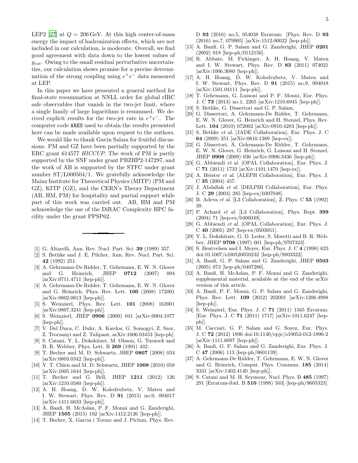LEP2 [\[27](#page-4-27)] at  $Q = 206 \,\text{GeV}$ . At this high center-of-mass energy the impact of hadronization effects, which are not included in our calculation, is moderate. Overall, we find good agreement with data down to the lowest values of  $y_{\text{cut}}$ . Owing to the small residual perturbative uncertainties, our calculation shows promise for a precise determination of the strong coupling using  $e^+e^-$  data measured at LEP.

In this paper we have presented a general method for final-state resummation at NNLL order for global rIRC safe observables that vanish in the two-jet limit, where a single family of large logarithms is resummed. We derived explicit results for the two-jet rate in  $e^+e^-$ . The computer code ARES used to obtain the results presented here can be made available upon request to the authors.

<span id="page-5-0"></span>We would like to thank Gavin Salam for fruitful discussions. PM and GZ have been partially supported by the ERC grant 614577 HICCUP. The work of PM is partly supported by the SNF under grant PBZHP2-147297, and the work of AB is supported by the STFC under grant number ST/L000504/1. We gratefully acknowledge the Mainz Institute for Theoretical Physics (MITP) (PM and GZ), KITP (GZ), and the CERN's Theory Department (AB, HM, PM) for hospitality and partial support while part of this work was carried out. AB, HM and PM acknowledge the use of the DiRAC Complexity HPC facility under the grant PPSP62.

- [1] G. Altarelli, Ann. Rev. Nucl. Part. Sci. 39 (1989) 357.
- [2] S. Bethke and J. E. Pilcher, Ann. Rev. Nucl. Part. Sci. 42 (1992) 251.
- <span id="page-5-2"></span>[3] A. Gehrmann-De Ridder, T. Gehrmann, E. W. N. Glover and G. Heinrich, JHEP 0712 (2007) 094 [arXiv:0711.4711 [hep-ph]].
- [4] A. Gehrmann-De Ridder, T. Gehrmann, E. W. N. Glover and G. Heinrich, Phys. Rev. Lett. 100 (2008) 172001 [arXiv:0802.0813 [hep-ph]].
- [5] S. Weinzierl, Phys. Rev. Lett. 101 (2008) 162001 [arXiv:0807.3241 [hep-ph]].
- [6] S. Weinzierl, JHEP 0906 (2009) 041 [arXiv:0904.1077 [hep-ph]].
- [7] V. Del Duca, C. Duhr, A. Kardos, G. Somogyi, Z. Szor, Z. Trocsanyi and Z. Tulipant, arXiv:1606.03453 [hep-ph].
- [8] S. Catani, Y. L. Dokshitzer, M. Olsson, G. Turnock and B. R. Webber, Phys. Lett. B 269 (1991) 432.
- [9] T. Becher and M. D. Schwartz, JHEP 0807 (2008) 034 [arXiv:0803.0342 [hep-ph]].
- [10] Y. T. Chien and M. D. Schwartz, JHEP 1008 (2010) 058 [arXiv:1005.1644 [hep-ph]].
- [11] T. Becher and G. Bell, JHEP 1211 (2012) 126 [arXiv:1210.0580 [hep-ph]].
- [12] A. H. Hoang, D. W. Kolodrubetz, V. Mateu and I. W. Stewart, Phys. Rev. D 91 (2015) no.9, 094017 [arXiv:1411.6633 [hep-ph]].
- <span id="page-5-1"></span>[13] A. Banfi, H. McAslan, P. F. Monni and G. Zanderighi, JHEP 1505 (2015) 102 [arXiv:1412.2126 [hep-ph]].
- [14] T. Becher, X. Garcia i Tormo and J. Piclum, Phys. Rev.

D 93 (2016) no.5, 054038 Erratum: [Phys. Rev. D 93 (2016) no.7, 079905] [arXiv:1512.00022 [hep-ph]].

- [15] A. Banfi, G. P. Salam and G. Zanderighi, JHEP 0201 (2002) 018 [hep-ph/0112156].
- [16] R. Abbate, M. Fickinger, A. H. Hoang, V. Mateu and I. W. Stewart, Phys. Rev. D 83 (2011) 074021 [arXiv:1006.3080 [hep-ph]].
- [17] A. H. Hoang, D. W. Kolodrubetz, V. Mateu and I. W. Stewart, Phys. Rev. D 91 (2015) no.9, 094018 [arXiv:1501.04111 [hep-ph]].
- [18] T. Gehrmann, G. Luisoni and P. F. Monni, Eur. Phys. J. C 73 (2013) no.1, 2265 [arXiv:1210.6945 [hep-ph]].
- [19] S. Bethke, G. Dissertori and G. P. Salam,
- [20] G. Dissertori, A. Gehrmann-De Ridder, T. Gehrmann, E. W. N. Glover, G. Heinrich and H. Stenzel, Phys. Rev. Lett. 104 (2010) 072002 [arXiv:0910.4283 [hep-ph]].
- [21] S. Bethke et al. [JADE Collaboration], Eur. Phys. J. C 64 (2009) 351 [arXiv:0810.1389 [hep-ex]].
- [22] G. Dissertori, A. Gehrmann-De Ridder, T. Gehrmann, E. W. N. Glover, G. Heinrich, G. Luisoni and H. Stenzel, JHEP 0908 (2009) 036 [arXiv:0906.3436 [hep-ph]].
- [23] G. Abbiendi et al. [OPAL Collaboration], Eur. Phys. J. C 71 (2011) 1733 [arXiv:1101.1470 [hep-ex]].
- [24] A. Heister et al. [ALEPH Collaboration], Eur. Phys. J. C 35 (2004) 457.
- [25] J. Abdallah et al. [DELPHI Collaboration], Eur. Phys. J. C 29 (2003) 285 [hep-ex/0307048].
- [26] B. Adeva et al. [L3 Collaboration], Z. Phys. C 55 (1992) 39.
- [27] P. Achard et al. [L3 Collaboration], Phys. Rept. 399 (2004) 71 [hep-ex/0406049].
- [28] G. Abbiendi et al. [OPAL Collaboration], Eur. Phys. J. C 40 (2005) 287 [hep-ex/0503051].
- [29] Y. L. Dokshitzer, G. D. Leder, S. Moretti and B. R. Webber, JHEP 9708 (1997) 001 [hep-ph/9707323].
- [30] S. Bentvelsen and I. Meyer, Eur. Phys. J. C 4 (1998) 623 doi:10.1007/s100520050232 [hep-ph/9803322].
- [31] A. Banfi, G. P. Salam and G. Zanderighi, JHEP 0503 (2005) 073 [hep-ph/0407286].
- [32] A. Banfi, H. McAslan, P. F. Monni and G. Zanderighi, supplemental material, available at the end of the arXiv version of this article.
- [33] A. Banfi, P. F. Monni, G. P. Salam and G. Zanderighi, Phys. Rev. Lett. 109 (2012) 202001 [arXiv:1206.4998 [hep-ph]].
- [34] S. Weinzierl, Eur. Phys. J. C **71** (2011) 1565 Erratum: [Eur. Phys. J. C 71 (2011) 1717] [arXiv:1011.6247 [hepph]].
- [35] M. Cacciari, G. P. Salam and G. Soyez, Eur. Phys. J. C 72 (2012) 1896 doi:10.1140/epjc/s10052-012-1896-2 [arXiv:1111.6097 [hep-ph]].
- [36] A. Banfi, G. P. Salam and G. Zanderighi, Eur. Phys. J. C 47 (2006) 113 [hep-ph/0601139].
- [37] A. Gehrmann-De Ridder, T. Gehrmann, E. W. N. Glover and G. Heinrich, Comput. Phys. Commun. 185 (2014) 3331 [arXiv:1402.4140 [hep-ph]].
- [38] S. Catani and M. H. Seymour, Nucl. Phys. B 485 (1997) 291 [Erratum-ibid. B 510 (1998) 503] [hep-ph/9605323].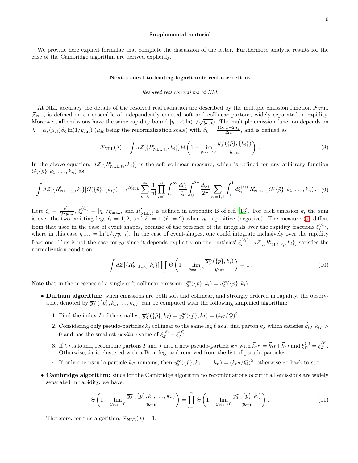#### Supplemental material

We provide here explicit formulae that complete the discussion of the letter. Furthermore analytic results for the case of the Cambridge algorithm are derived explicitly.

#### <span id="page-6-0"></span>Next-to-next-to-leading-logarithmic real corrections

#### Resolved real corrections at NLL

At NLL accuracy the details of the resolved real radiation are described by the multiple emission function  $\mathcal{F}_{\text{NLL}}$ .  $\mathcal{F}_{\text{NLL}}$  is defined on an ensemble of independently-emitted soft and collinear partons, widely separated in rapidity. Moreover, all emissions have the same rapidity bound  $|\eta_i| < \ln(1/\sqrt{y_{\text{cut}}})$ . The multiple emission function depends on  $\lambda = \alpha_s(\mu_R)\beta_0 \ln(1/y_{\text{cut}})$  ( $\mu_R$  being the renormalization scale) with  $\beta_0 = \frac{11C_A - 2n_f}{12\pi}$ , and is defined as

$$
\mathcal{F}_{\text{NLL}}(\lambda) = \int d\mathcal{Z} [\{R'_{\text{NLL},\ell_i}, k_i\}] \Theta \left(1 - \lim_{y_{\text{cut}} \to 0} \frac{\overline{y}_3^{\text{sc}}(\{\tilde{p}\}, \{k_i\})}{y_{\text{cut}}}\right). \tag{8}
$$

In the above equation,  $dZ[\{R'_{\text{NLL},\ell_i}, k_i\}]$  is the soft-collinear measure, which is defined for any arbitrary function  $G(\{\tilde{p}\},k_1,\ldots,k_n)$  as

<span id="page-6-1"></span>
$$
\int dZ [\{R'_{\text{NLL},\ell_i}, k_i\}] G(\{\tilde{p}\}, \{k_i\}) = \epsilon^{R'_{\text{NLL}}} \sum_{n=0}^{\infty} \frac{1}{n!} \prod_{i=1}^{n} \int_{\epsilon}^{\infty} \frac{d\zeta_i}{\zeta_i} \int_{0}^{2\pi} \frac{d\phi_i}{2\pi} \sum_{\ell_i=1,2} \int_{0}^{1} d\xi_i^{(\ell_i)} R'_{\text{NLL},\ell_i} G(\{\tilde{p}\}, k_1, \dots, k_n). \tag{9}
$$

Here  $\zeta_i = \frac{k_{ii}^2}{Q^2 y_{\text{cut}}}, \xi_i^{(\ell_i)} = |\eta_i|/\eta_{\text{max}}$ , and  $R'_{\text{NLL},\ell}$  is defined in appendix B of ref. [\[13\]](#page-4-18). For each emission  $k_i$  the sum is over the two emitting legs  $\ell_i = 1, 2$ , and  $\ell_i = 1$  ( $\ell_i = 2$ ) when  $\eta_i$  is positive (negative). The measure [\(9\)](#page-5-0) differs from that used in the case of event shapes, because of the presence of the integrals over the rapidity fractions  $\xi_i^{(\ell_i)}$ , where in this case  $\eta_{\text{max}} = \ln(1/\sqrt{y_{\text{cut}}})$ . In the case of event-shapes, one could integrate inclusively over the rapidity fractions. This is not the case for  $y_3$  since it depends explicitly on the particles'  $\xi_i^{(\ell_i)}$ .  $d\mathcal{Z}[\{R'_{\text{NLL},\ell_i},k_i\}]$  satisfies the normalization condition

<span id="page-6-3"></span><span id="page-6-2"></span>
$$
\int d\mathcal{Z}[\{R'_{\mathrm{NLL},\ell_i}, k_i\}] \prod_i \Theta\left(1 - \lim_{y_{\mathrm{cut}} \to 0} \frac{\overline{y}_3^{\mathrm{cc}}(\{\tilde{p}\}, k_i)}{y_{\mathrm{cut}}}\right) = 1. \tag{10}
$$

Note that in the presence of a single soft-collinear emission  $\overline{y}_3^{\text{sc}}(\{\tilde{p}\}, k_i) = y_3^{\text{sc}}(\{\tilde{p}\}, k_i)$ .

- Durham algorithm: when emissions are both soft and collinear, and strongly ordered in rapidity, the observable, denoted by  $\overline{y}_3^{\text{sc}}(\{\tilde{p}\},k_1,\ldots,k_n)$ , can be computed with the following simplified algorithm:
	- 1. Find the index I of the smallest  $\overline{y}_3^{\text{sc}}(\{\tilde{p}\}, k_I) = y_3^{\text{sc}}(\{\tilde{p}\}, k_I) = (k_{tI}/Q)^2$ .
	- 2. Considering only pseudo-particles  $k_j$  collinear to the same leg  $\ell$  as I, find parton  $k_j$  which satisfies  $\vec{k}_{t,j} \cdot \vec{k}_{t,j} >$ 0 and has the smallest *positive* value of  $\xi_J^{(\ell)} - \xi_I^{(\ell)}$  $I^{(k)}$ .
	- 3. If  $k_J$  is found, recombine partons I and J into a new pseudo-particle  $k_P$  with  $\vec{k}_{tP} = \vec{k}_{tI} + \vec{k}_{tJ}$  and  $\xi_P^{(\ell)} = \xi_J^{(\ell)}$  $J^{\left(\ell\right)}$  . Otherwise,  $k_I$  is clustered with a Born leg, and removed from the list of pseudo-particles.
	- 4. If only one pseudo-particle  $k_P$  remains, then  $\overline{y}_3^{\text{sc}}(\{\tilde{p}\}, k_1, \ldots, k_n) = (k_{tP}/Q)^2$ , otherwise go back to step 1.
- <span id="page-6-4"></span>• Cambridge algorithm: since for the Cambridge algorithm no recombinations occur if all emissions are widely separated in rapidity, we have:

$$
\Theta\left(1 - \lim_{y_{\text{cut}} \to 0} \frac{\overline{y}_3^{\text{sc}}(\{\tilde{p}\}, k_1, \dots, k_n)}{y_{\text{cut}}}\right) = \prod_{i=1}^n \Theta\left(1 - \lim_{y_{\text{cut}} \to 0} \frac{y_3^{\text{sc}}(\{\tilde{p}\}, k_i)}{y_{\text{cut}}}\right). \tag{11}
$$

Therefore, for this algorithm,  $\mathcal{F}_{\text{NLL}}(\lambda) = 1$ .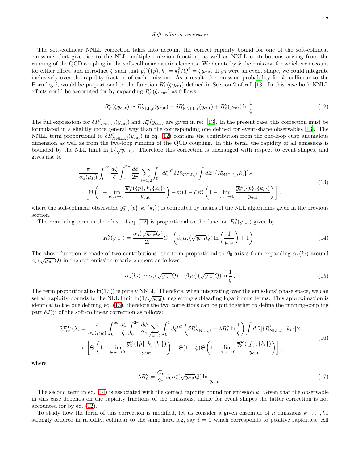#### <span id="page-7-0"></span>Soft-collinear correction

The soft-collinear NNLL correction takes into account the correct rapidity bound for one of the soft-collinear emissions that give rise to the NLL multiple emission function, as well as NNLL contributions arising from the running of the QCD coupling in the soft-collinear matrix elements. We denote by  $k$  the emission for which we account for either effect, and introduce  $\zeta$  such that  $y_3^{\text{sc}}(\{\tilde{p}\},k) = k_t^2/Q^2 = \zeta y_{\text{cut}}$ . If  $y_3$  were an event shape, we could integrate inclusively over the rapidity fraction of each emission. As a result, the emission probability for  $k$ , collinear to the Born leg  $\ell$ , would be proportional to the function  $R'_{\ell}(\zeta y_{\text{cut}})$  defined in Section 2 of ref. [\[13\]](#page-4-18). In this case both NNLL effects could be accounted for by expanding  $R'_{\ell}(\zeta y_{\text{cut}})$  as follows:

$$
R'_{\ell} (\zeta y_{\text{cut}}) \simeq R'_{\text{NLL}, \ell}(y_{\text{cut}}) + \delta R'_{\text{NNLL}, \ell}(y_{\text{cut}}) + R''_{\ell}(y_{\text{cut}}) \ln \frac{1}{\zeta}.
$$
 (12)

The full expressions for  $\delta R'_{NNLL,\ell}(y_{\text{cut}})$  and  $R''_{\ell}(y_{\text{cut}})$  are given in ref. [\[13](#page-4-18)]. In the present case, this correction must be formulated in a slightly more general way than the corresponding one defined for event-shape observables [\[13](#page-4-18)]. The NNLL term proportional to  $\delta R'_{NNLL,\ell}(y_{\text{cut}})$  in eq. [\(12\)](#page-6-0) contains the contribution from the one-loop cusp anomalous dimension as well as from the two-loop running of the QCD coupling. In this term, the rapidity of all emissions is bounded by the NLL limit  $\ln(1/\sqrt{y_{\text{cut}}})$ . Therefore this correction is unchanged with respect to event shapes, and gives rise to

$$
\frac{\pi}{\alpha_s(\mu_R)} \int_0^\infty \frac{d\zeta}{\zeta} \int_0^{2\pi} \frac{d\phi}{2\pi} \sum_{\ell=1,2} \int_0^1 d\xi^{(\ell)} \delta R'_{\text{NNLL},\ell} \int d\mathcal{Z} [\{R'_{\text{NLL},\ell_i}, k_i\}] \times \times \left[ \Theta \left( 1 - \lim_{y_{\text{cut}} \to 0} \frac{\overline{y}_3^{\text{sc}}(\{\tilde{p}\}, k, \{k_i\})}{y_{\text{cut}}} \right) - \Theta (1 - \zeta) \Theta \left( 1 - \lim_{y_{\text{cut}} \to 0} \frac{\overline{y}_3^{\text{sc}}(\{\tilde{p}\}, \{k_i\})}{y_{\text{cut}}} \right) \right],
$$
\n(13)

where the soft-collinear observable  $\overline{y}_3^{\text{sc}}(\{\tilde{p}\},k,\{k_i\})$  is computed by means of the NLL algorithms given in the previous section.

The remaining term in the r.h.s. of eq. [\(12\)](#page-6-0) is proportional to the function  $R''_{\ell}(y_{\text{cut}})$  given by

$$
R_{\ell}''(y_{\text{cut}}) = \frac{\alpha_s(\sqrt{y_{\text{cut}}}Q)}{2\pi}C_F\left(\beta_0\alpha_s(\sqrt{y_{\text{cut}}}Q)\ln\left(\frac{1}{y_{\text{cut}}}\right)+1\right). \tag{14}
$$

The above function is made of two contributions: the term proportional to  $\beta_0$  arises from expanding  $\alpha_s(k_t)$  around  $\alpha_s(\sqrt{y_{\text{cut}}}Q)$  in the soft emission matrix element as follows

<span id="page-7-2"></span>
$$
\alpha_s(k_t) \simeq \alpha_s(\sqrt{y_{\text{cut}}}Q) + \beta_0 \alpha_s^2(\sqrt{y_{\text{cut}}}Q) \ln \frac{1}{\zeta}.
$$
\n(15)

The term proportional to  $\ln(1/\zeta)$  is purely NNLL. Therefore, when integrating over the emissions' phase space, we can set all rapidity bounds to the NLL limit  $\ln(1/\sqrt{y_{\text{cut}}})$ , neglecting subleading logarithmic terms. This approximation is identical to the one defining eq. [\(13\)](#page-6-1), therefore the two corrections can be put together to define the running-coupling part  $\delta \mathcal{F}^{\rm rc}_{\rm sc}$  of the soft-collinear correction as follows:

$$
\delta \mathcal{F}_{\rm sc}^{\rm rc}(\lambda) = \frac{\pi}{\alpha_s(\mu_R)} \int_0^\infty \frac{d\zeta}{\zeta} \int_0^{2\pi} \frac{d\phi}{2\pi} \sum_{\ell=1,2} \int_0^1 d\xi^{(\ell)} \left( \delta R'_{\rm NNLL,\ell} + \lambda R''_{\ell} \ln \frac{1}{\zeta} \right) \int d\mathcal{Z} [\{R'_{\rm NLL,\ell_i}, k_i\}] \times
$$
  
 
$$
\times \left[ \Theta \left( 1 - \lim_{y_{\rm cut} \to 0} \frac{\overline{y}_3^{\rm sc}(\{\tilde{p}\}, k, \{k_i\})}{y_{\rm cut}} \right) - \Theta (1 - \zeta) \Theta \left( 1 - \lim_{y_{\rm cut} \to 0} \frac{\overline{y}_3^{\rm sc}(\{\tilde{p}\}, \{k_i\})}{y_{\rm cut}} \right) \right],
$$
(16)

where

<span id="page-7-1"></span>
$$
\lambda R_{\ell}^{\prime\prime} = \frac{C_F}{2\pi} \beta_0 \alpha_s^2 (\sqrt{y_{\text{cut}}} Q) \ln \frac{1}{y_{\text{cut}}} \,. \tag{17}
$$

The second term in eq.  $(14)$  is associated with the correct rapidity bound for emission k. Given that the observable in this case depends on the rapidity fractions of the emissions, unlike for event shapes the latter correction is not accounted for by eq. [\(12\)](#page-6-0).

To study how the form of this correction is modified, let us consider a given ensemble of n emissions  $k_1, \ldots, k_n$ strongly ordered in rapidity, collinear to the same hard leg, say  $\ell = 1$  which corresponds to positive rapidities. All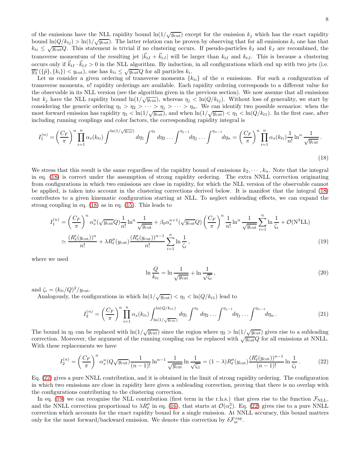of the emissions have the NLL rapidity bound  $\ln(1/\sqrt{y_{\text{cut}}})$  except for the emission  $k_j$  which has the exact rapidity bound  $\ln(Q/k_{tj}) > \ln(1/\sqrt{y_{\text{cut}}})$ . The latter relation can be proven by observing that for all emissions  $k_i$  one has that  $k_{ti} \leq \sqrt{y_{\text{cut}}} Q$ . This statement is trivial if no clustering occurs. If pseudo-particles  $k_I$  and  $k_J$  are recombined, the transverse momentum of the resulting jet  $|\vec{k}_{tI} + \vec{k}_{tJ}|$  will be larger than  $k_{tI}$  and  $k_{tJ}$ . This is because a clustering occurs only if  $\vec{k}_{tI} \cdot \vec{k}_{tJ} > 0$  in the NLL algorithm. By induction, in all configurations which end up with two jets (i.e.  $\overline{y}_3^{\text{sc}}(\{\tilde{p}\},\{k_i\}) < y_{\text{cut}}$ , one has  $k_{ti} \leq \sqrt{y_{\text{cut}}}Q$  for all particles  $k_i$ .

Let us consider a given ordering of transverse momenta  ${k_{ti}}$  of the n emissions. For such a configuration of transverse momenta, n! rapidity orderings are available. Each rapidity ordering corresponds to a different value for the observable in its NLL version (see the algorithm given in the previous section). We now assume that all emissions but  $k_j$  have the NLL rapidity bound  $\ln(1/\sqrt{y_{\text{cut}}})$ , whereas  $\eta_j < \ln(Q/k_{tj})$ . Without loss of generality, we start by considering the generic ordering  $\eta_1 > \eta_2 > \cdots > \eta_j > \cdots > \eta_n$ . We can identify two possible scenarios: when the most forward emission has rapidity  $\eta_1 < \ln(1/\sqrt{y_{\text{cut}}})$ , and when  $\ln(1/\sqrt{y_{\text{cut}}}) < \eta_1 < \ln(Q/k_{t1})$ . In the first case, after including running couplings and color factors, the corresponding rapidity integral is

$$
I_1^{(n)} = \left(\frac{C_F}{\pi}\right)^n \prod_{i=1}^n \alpha_s(k_{ti}) \int^{\ln(1/\sqrt{y_{\text{cut}}})} d\eta_1 \int^{\eta_1} d\eta_2 \dots \int^{\eta_{j-1}} d\eta_j \dots \int^{\eta_{n-1}} d\eta_n = \left(\frac{C_F}{\pi}\right)^n \prod_{i=1}^n \alpha_s(k_{ti}) \frac{1}{n!} \ln^n \frac{1}{\sqrt{y_{\text{cut}}}}.
$$
\n(18)

We stress that this result is the same regardless of the rapidity bound of emissions  $k_2, \dots, k_n$ . Note that the integral in eq. [\(18\)](#page-7-0) is correct under the assumption of strong rapidity ordering. The extra NNLL correction originating from configurations in which two emissions are close in rapidity, for which the NLL version of the observable cannot be applied, is taken into account in the clustering corrections derived below. It is manifest that the integral [\(18\)](#page-7-0) contributes to a given kinematic configuration starting at NLL. To neglect subleading effects, we can expand the strong coupling in eq. [\(18\)](#page-7-0) as in eq. [\(15\)](#page-6-3). This leads to

$$
I_1^{(n)} = \left(\frac{C_F}{\pi}\right)^n \alpha_s^n \left(\sqrt{y_{\text{cut}}}Q\right) \frac{1}{n!} \ln^n \frac{1}{\sqrt{y_{\text{cut}}}} + \beta_0 \alpha_s^{n+1} \left(\sqrt{y_{\text{cut}}}Q\right) \left(\frac{C_F}{\pi}\right)^n \frac{1}{n!} \ln^n \frac{1}{\sqrt{y_{\text{cut}}}} \sum_{i=1}^n \ln \frac{1}{\zeta_i} + \mathcal{O}(\mathcal{N}^3 \text{LL})
$$
  

$$
\simeq \frac{(R'_\ell(y_{\text{cut}}))^n}{n!} + \lambda R''_\ell(y_{\text{cut}}) \frac{(R'_\ell(y_{\text{cut}}))^{n-1}}{n!} \sum_{i=1}^n \ln \frac{1}{\zeta_i},\tag{19}
$$

where we used

$$
\ln \frac{Q}{k_{ti}} = \ln \frac{1}{\sqrt{y_{\text{cut}}}} + \ln \frac{1}{\sqrt{\zeta_i}},\tag{20}
$$

and  $\zeta_i = (k_{ti}/Q)^2/y_{\text{cut}}$ .

<span id="page-8-0"></span>Analogously, the configurations in which  $\ln(1/\sqrt{y_{\text{cut}}}) < \eta_1 < \ln(Q/k_{t1})$  lead to

$$
I_2^{(n)} = \left(\frac{C_F}{\pi}\right)^n \prod_{i=1}^n \alpha_s(k_{ti}) \int_{\ln(1/\sqrt{y_{\text{cut}}})}^{\ln(Q/k_{t1})} d\eta_1 \int^{\eta_1} d\eta_2 \dots \int^{\eta_{j-1}} d\eta_j \dots \int^{\eta_{n-1}} d\eta_n.
$$
 (21)

The bound in  $\eta_2$  can be replaced with  $\ln(1/\sqrt{y_{\text{cut}}})$  since the region where  $\eta_2 > \ln(1/\sqrt{y_{\text{cut}}})$  gives rise to a subleading correction. Moreover, the argument of the running coupling can be replaced with  $\sqrt{\frac{V_{\text{out}}}{Q}}$  for all emissions at NNLL. With these replacements we have

<span id="page-8-1"></span>
$$
I_2^{(n)} = \left(\frac{C_F}{\pi}\right)^n \alpha_s^n (Q \sqrt{y_{\text{cut}}}) \frac{1}{(n-1)!} \ln^{n-1} \frac{1}{\sqrt{y_{\text{cut}}}} \ln \frac{1}{\sqrt{\zeta_1}} = (1-\lambda) R_\ell''(y_{\text{cut}}) \frac{(R_\ell'(y_{\text{cut}}))^{n-1}}{(n-1)!} \ln \frac{1}{\zeta_1}.
$$
 (22)

Eq. [\(22\)](#page-7-1) gives a pure NNLL contribution, and it is obtained in the limit of strong rapidity ordering. The configuration in which two emissions are close in rapidity here gives a subleading correction, proving that there is no overlap with the configurations contributing to the clustering correction.

In eq. [\(19\)](#page-7-2) we can recognise the NLL contribution (first term in the r.h.s.) that gives rise to the function  $\mathcal{F}_{\text{NLL}}$ , and the NNLL correction proportional to  $\lambda R''_{\ell}$  in eq. [\(16\)](#page-6-4), that starts at  $\mathcal{O}(\alpha_s^3)$ . Eq. [\(22\)](#page-7-1) gives rise to a pure NNLL correction which accounts for the exact rapidity bound for a single emission. At NNLL accuracy, this bound matters only for the most forward/backward emission. We denote this correction by  $\delta \mathcal{F}^{\text{rap}}_{\text{sc}}$ .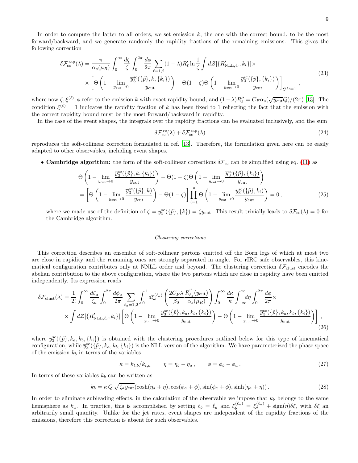In order to compute the latter to all orders, we set emission  $k$ , the one with the correct bound, to be the most forward/backward, and we generate randomly the rapidity fractions of the remaining emissions. This gives the following correction

$$
\delta \mathcal{F}_{\rm sc}^{\rm rap}(\lambda) = \frac{\pi}{\alpha_s(\mu_R)} \int_0^\infty \frac{d\zeta}{\zeta} \int_0^{2\pi} \frac{d\phi}{2\pi} \sum_{\ell=1,2} (1-\lambda) R_\ell' \ln \frac{1}{\zeta} \int d\mathcal{Z} [\{R'_{\rm NLL,\ell_i}, k_i\}] \times
$$
\n
$$
\times \left[ \Theta \left( 1 - \lim_{y_{\rm cut} \to 0} \frac{\overline{y}_3^{\rm sc}(\{\tilde{p}\}, k, \{k_i\})}{y_{\rm cut}} \right) - \Theta (1-\zeta) \Theta \left( 1 - \lim_{y_{\rm cut} \to 0} \frac{\overline{y}_3^{\rm sc}(\{\tilde{p}\}, \{k_i\})}{y_{\rm cut}} \right) \right]_{\xi^{(\ell)}=1},
$$
\n(23)

where now  $\zeta, \xi^{(\ell)}, \phi$  refer to the emission k with exact rapidity bound, and  $(1-\lambda)R''_{\ell} = C_F \alpha_s (\sqrt{y_{\text{cut}}}Q)/(2\pi)$  [\[13](#page-4-18)]. The condition  $\xi^{(\ell)} = 1$  indicates the rapidity fraction of k has been fixed to 1 reflecting the fact that the emission with the correct rapidity bound must be the most forward/backward in rapidity.

In the case of the event shapes, the integrals over the rapidity fractions can be evaluated inclusively, and the sum

$$
\delta \mathcal{F}_{\rm sc}^{\rm rc}(\lambda) + \delta \mathcal{F}_{\rm sc}^{\rm rap}(\lambda) \tag{24}
$$

reproduces the soft-collinear correction formulated in ref. [\[13\]](#page-4-18). Therefore, the formulation given here can be easily adapted to other observables, including event shapes.

• Cambridge algorithm: the form of the soft-collinear corrections  $\delta \mathcal{F}_{\rm sc}$  can be simplified using eq. [\(11\)](#page-5-1) as

$$
\Theta\left(1-\lim_{y_{\text{cut}}\to 0}\frac{\overline{y}_{3}^{\text{sc}}(\{\tilde{p}\},k,\{k_{i}\})}{y_{\text{cut}}}\right)-\Theta(1-\zeta)\Theta\left(1-\lim_{y_{\text{cut}}\to 0}\frac{\overline{y}_{3}^{\text{sc}}(\{\tilde{p}\},\{k_{i}\})}{y_{\text{cut}}}\right)
$$
\n
$$
=\left[\Theta\left(1-\lim_{y_{\text{cut}}\to 0}\frac{\overline{y}_{3}^{\text{sc}}(\{\tilde{p}\},k)}{y_{\text{cut}}}\right)-\Theta(1-\zeta)\right]\prod_{i=1}^{n}\Theta\left(1-\lim_{y_{\text{cut}}\to 0}\frac{y_{3}^{\text{sc}}(\{\tilde{p}\},k_{i})}{y_{\text{cut}}}\right)=0,
$$
\n(25)

where we made use of the definition of  $\zeta = y_3^{\text{sc}}(\{\tilde{p}\},\{k\}) = \zeta y_{\text{cut}}$ . This result trivially leads to  $\delta \mathcal{F}_{\text{sc}}(\lambda) = 0$  for the Cambridge algorithm.

#### Clustering corrections

This correction describes an ensemble of soft-collinear partons emitted off the Born legs of which at most two are close in rapidity and the remaining ones are strongly separated in angle. For rIRC safe observables, this kinematical configuration contributes only at NNLL order and beyond. The clustering correction  $\delta \mathcal{F}_{\text{clust}}$  encodes the abelian contribution to the above configuration, where the two partons which are close in rapidity have been emitted independently. Its expression reads

$$
\delta \mathcal{F}_{\text{clust}}(\lambda) = \frac{1}{2!} \int_0^\infty \frac{d\zeta_a}{\zeta_a} \int_0^{2\pi} \frac{d\phi_a}{2\pi} \sum_{\ell_a=1,2} \int_0^1 d\xi_a^{(\ell_a)} \left( \frac{2C_F \lambda}{\beta_0} \frac{R_{\ell_a}^{''}(y_{\text{cut}})}{\alpha_s(\mu_R)} \right) \int_0^\infty \frac{d\kappa}{\kappa} \int_{-\infty}^\infty d\eta \int_0^{2\pi} \frac{d\phi}{2\pi} \times \int \frac{d\zeta_a}{\kappa} \left[ \frac{R_{\ell_a}^{'}(y_{\text{cut}})}{\alpha_s(\mu_R)} \right] \left[ \Theta \left( 1 - \lim_{y_{\text{cut}} \to 0} \frac{y_3^{\text{sc}}(\{\tilde{p}\}, k_a, k_b, \{k_i\})}{y_{\text{cut}}} \right) - \Theta \left( 1 - \lim_{y_{\text{cut}} \to 0} \frac{\overline{y}_3^{\text{sc}}(\{\tilde{p}\}, k_a, k_b, \{k_i\})}{y_{\text{cut}}} \right) \right], \tag{26}
$$

<span id="page-9-0"></span>where  $y_3^{\text{sc}}(\{\tilde{p}\}, k_a, k_b, \{k_i\})$  is obtained with the clustering procedures outlined below for this type of kinematical configuration, while  $\overline{y}_3^{\text{sc}}(\{\tilde{p}\}, k_a, k_b, \{k_i\})$  is the NLL version of the algorithm. We have parameterized the phase space of the emission  $k_b$  in terms of the variables

$$
\kappa = k_{t,b}/k_{t,a} \qquad \eta = \eta_b - \eta_a, \qquad \phi = \phi_b - \phi_a. \tag{27}
$$

In terms of these variables  $k_b$  can be written as

$$
k_b = \kappa Q \sqrt{\zeta_a y_{\text{cut}}} (\cosh(\eta_a + \eta), \cos(\phi_a + \phi), \sin(\phi_a + \phi), \sinh(\eta_a + \eta)). \tag{28}
$$

In order to eliminate subleading effects, in the calculation of the observable we impose that  $k_b$  belongs to the same hemisphere as  $k_a$ . In practice, this is accomplished by setting  $\ell_b = \ell_a$  and  $\xi_b^{(\ell_a)} = \xi_a^{(\ell_a)} + \text{sign}(\eta)\delta\xi$ , with  $\delta\xi$  and arbitrarily small quantity. Unlike for the jet rates, event shapes are independent of the rapidity fractions of the emissions, therefore this correction is absent for such observables.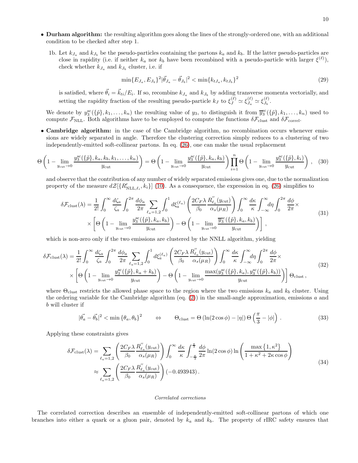- Durham algorithm: the resulting algorithm goes along the lines of the strongly-ordered one, with an additional condition to be checked after step 1.
	- 1b. Let  $k_{J_a}$  and  $k_{J_b}$  be the pseudo-particles containing the partons  $k_a$  and  $k_b$ . If the latter pseudo-particles are close in rapidity (i.e. if neither  $k_a$  nor  $k_b$  have been recombined with a pseudo-particle with larger  $\xi^{(\ell)}$ ), check whether  $k_{J_a}$  and  $k_{J_b}$  cluster, i.e. if

$$
\min\{E_{J_a}, E_{J_b}\}^2|\vec{\theta}_{J_a} - \vec{\theta}_{J_b}|^2 < \min\{k_{tJ_a}, k_{tJ_b}\}^2\tag{29}
$$

is satisfied, where  $\vec{\theta}_i = \vec{k}_{ti}/E_i$ . If so, recombine  $k_{J_a}$  and  $k_{J_b}$  by adding transverse momenta vectorially, and setting the rapidity fraction of the resulting pseudo-particle  $k_J$  to  $\xi_J^{(\ell)} \simeq \xi_{J_a}^{(\ell)}$  $\frac{(\ell)}{J_a} \simeq \xi_{J_b}^{(\ell)}$  $\frac{1}{b}$ .

We denote by  $y_3^{\text{sc}}(\{\tilde{p}\},k_1,\ldots,k_n)$  the resulting value of  $y_3$ , to distinguish it from  $\overline{y}_3^{\text{sc}}(\{\tilde{p}\},k_1,\ldots,k_n)$  used to compute  $\mathcal{F}_{\text{NLL}}$ . Both algorithms have to be employed to compute the functions  $\delta \mathcal{F}_{\text{clust}}$  and  $\delta \mathcal{F}_{\text{correl}}$ .

• Cambridge algorithm: in the case of the Cambridge algorithm, no recombination occurs whenever emissions are widely separated in angle. Therefore the clustering correction simply reduces to a clustering of two independently-emitted soft-collinear partons. In eq. [\(26\)](#page-8-0), one can make the usual replacement

$$
\Theta\left(1-\lim_{y_{\text{cut}}\to 0}\frac{y_3^{\text{sc}}(\{\tilde{p}\},k_a,k_b,k_1,\ldots,k_n)}{y_{\text{cut}}}\right)=\Theta\left(1-\lim_{y_{\text{cut}}\to 0}\frac{y_3^{\text{sc}}(\{\tilde{p}\},k_a,k_b)}{y_{\text{cut}}}\right)\prod_{i=1}^n\Theta\left(1-\lim_{y_{\text{cut}}\to 0}\frac{y_3^{\text{sc}}(\{\tilde{p}\},k_i)}{y_{\text{cut}}}\right),\quad(30)
$$

and observe that the contribution of any number of widely separated emissions gives one, due to the normalization property of the measure  $d\mathcal{Z}[\{R'_{\text{NLL},\ell_i}, k_i\}]$  [\(10\)](#page-5-2). As a consequence, the expression in eq. [\(26\)](#page-8-0) simplifies to

$$
\delta \mathcal{F}_{\text{clust}}(\lambda) = \frac{1}{2!} \int_0^\infty \frac{d\zeta_a}{\zeta_a} \int_0^{2\pi} \frac{d\phi_a}{2\pi} \sum_{\ell_a=1,2} \int_0^1 d\xi_a^{(\ell_a)} \left( \frac{2C_F \lambda}{\beta_0} \frac{R_{\ell_a}^{''}(y_{\text{cut}})}{\alpha_s(\mu_R)} \right) \int_0^\infty \frac{d\kappa}{\kappa} \int_{-\infty}^\infty d\eta \int_0^{2\pi} \frac{d\phi}{2\pi} \times \left[ \Theta \left( 1 - \lim_{y_{\text{cut}} \to 0} \frac{y_3^{\text{sc}}(\{\tilde{p}\}, k_a, k_b)}{y_{\text{cut}}} \right) - \Theta \left( 1 - \lim_{y_{\text{cut}} \to 0} \frac{\overline{y_3^{\text{sc}}}(\{\tilde{p}\}, k_a, k_b)}{y_{\text{cut}}} \right) \right],
$$
\n(31)

which is non-zero only if the two emissions are clustered by the NNLL algorithm, yielding

$$
\delta \mathcal{F}_{\text{clust}}(\lambda) = \frac{1}{2!} \int_0^\infty \frac{d\zeta_a}{\zeta_a} \int_0^{2\pi} \frac{d\phi_a}{2\pi} \sum_{\ell_a=1,2} \int_0^1 d\xi_a^{(\ell_a)} \left( \frac{2C_F \lambda}{\beta_0} \frac{R_{\ell_a}^{\prime\prime}(y_{\text{cut}})}{\alpha_s(\mu_R)} \right) \int_0^\infty \frac{d\kappa}{\kappa} \int_{-\infty}^\infty d\eta \int_0^{2\pi} \frac{d\phi}{2\pi} \times \\ \times \left[ \Theta \left( 1 - \lim_{y_{\text{cut}} \to 0} \frac{y_3^{\text{sc}}(\{\tilde{p}\}, k_a + k_b)}{y_{\text{cut}}} \right) - \Theta \left( 1 - \lim_{y_{\text{cut}} \to 0} \frac{\max(y_3^{\text{sc}}(\{\tilde{p}\}, k_a), y_3^{\text{sc}}(\{\tilde{p}\}, k_b))}{y_{\text{cut}}} \right) \right] \Theta_{\text{clust}} , \tag{32}
$$

where  $\Theta_{\text{clust}}$  restricts the allowed phase space to the region where the two emissions  $k_a$  and  $k_b$  cluster. Using the ordering variable for the Cambridge algorithm (eq. [\(2\)](#page-0-0)) in the small-angle approximation, emissions a and b will cluster if

$$
|\vec{\theta_a} - \vec{\theta_b}|^2 < \min{\{\theta_a, \theta_b\}}^2 \qquad \Leftrightarrow \qquad \Theta_{\text{clust}} = \Theta\left(\ln(2\cos\phi) - |\eta|\right) \Theta\left(\frac{\pi}{3} - |\phi|\right) \,. \tag{33}
$$

Applying these constraints gives

$$
\delta \mathcal{F}_{\text{clust}}(\lambda) = \sum_{\ell_a=1,2} \left( \frac{2C_F \lambda}{\beta_0} \frac{R_{\ell_a}''(y_{\text{cut}})}{\alpha_s(\mu_R)} \right) \int_0^\infty \frac{d\kappa}{\kappa} \int_{-\frac{\pi}{3}}^{\frac{\pi}{3}} \frac{d\phi}{2\pi} \ln(2 \cos \phi) \ln \left( \frac{\max\left\{1, \kappa^2\right\}}{1 + \kappa^2 + 2\kappa \cos \phi} \right) \approx \sum_{\ell_a=1,2} \left( \frac{2C_F \lambda}{\beta_0} \frac{R_{\ell_a}''(y_{\text{cut}})}{\alpha_s(\mu_R)} \right) (-0.493943).
$$
\n(34)

#### Correlated corrections

The correlated correction describes an ensemble of independently-emitted soft-collinear partons of which one branches into either a quark or a gluon pair, denoted by  $k_a$  and  $k_b$ . The property of rIRC safety ensures that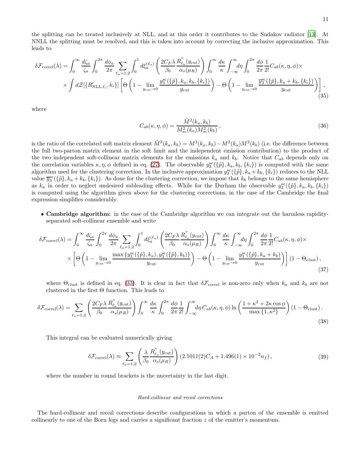the splitting can be treated inclusively at NLL, and at this order it contributes to the Sudakov radiator [\[13](#page-4-18)]. At NNLL the splitting must be resolved, and this is taken into account by correcting the inclusive approximation. This leads to

$$
\delta \mathcal{F}_{\text{correl}}(\lambda) = \int_0^\infty \frac{d\zeta_a}{\zeta_a} \int_0^{2\pi} \frac{d\phi_a}{2\pi} \sum_{\ell_a=1,2} \int_0^1 d\xi_a^{(\ell_a)} \left( \frac{2C_F \lambda}{\beta_0} \frac{R_{\ell_a}^{''}(y_{\text{cut}})}{\alpha_s(\mu_R)} \right) \int_0^\infty \frac{d\kappa}{\kappa} \int_{-\infty}^\infty d\eta \int_0^{2\pi} \frac{d\phi}{2\pi} \frac{1}{2!} C_{ab}(\kappa, \eta, \phi) \times
$$

$$
\times \int d\mathcal{Z} [\{R_{\text{NLL},\ell_i}^{\prime}, k_i\}] \left[ \Theta \left( 1 - \lim_{y_{\text{cut}} \to 0} \frac{y_3^{\text{sc}}(\{\tilde{p}\}, k_a, k_b, \{k_i\})}{y_{\text{cut}}} \right) - \Theta \left( 1 - \lim_{y_{\text{cut}} \to 0} \frac{\overline{y}_3^{\text{sc}}(\{\tilde{p}\}, k_a + k_b, \{k_i\})}{y_{\text{cut}}} \right) \right], \tag{35}
$$

where

$$
C_{ab}(\kappa, \eta, \phi) = \frac{\tilde{M}^2(k_a, k_b)}{M_{sc}^2(k_a) M_{sc}^2(k_b)},
$$
\n(36)

is the ratio of the correlated soft matrix element  $\tilde{M}^2(k_a, k_b) = M^2(k_a, k_b) - M^2(k_a)M^2(k_b)$  (i.e. the difference between the full two-parton matrix element in the soft limit and the independent emission contribution) to the product of the two independent soft-collinear matrix elements for the emissions  $k_a$  and  $k_b$ . Notice that  $C_{ab}$  depends only on the correlation variables  $\kappa, \eta, \phi$  defined in eq. [\(27\)](#page-8-1). The observable  $y_3^{\rm sc}(\{\tilde{p}\}, k_a, k_b, \{k_i\})$  is computed with the same algorithm used for the clustering correction. In the inclusive approximation  $y_3^{\text{sc}}(\{\tilde{p}\}, k_a + k_b, \{k_i\})$  reduces to the NLL value  $\overline{y}_3^{\text{sc}}(\{\tilde{p}\}, k_a + k_b, \{k_i\})$ . As done for the clustering correction, we impose that  $k_b$  belongs to the same hemisphere as  $k_a$  in order to neglect undesired subleading effects. While for the Durham the observable  $y_3^{\rm sc}(\{\tilde{p}\}, k_a, k_b, \{k_i\})$ is computed using the algorithm given above for the clustering corrections, in the case of the Cambridge the final expression simplifies considerably.

<span id="page-11-0"></span>• Cambridge algorithm: in the case of the Cambridge algorithm we can integrate out the harmless rapidityseparated soft-collinear ensemble and write

$$
\delta \mathcal{F}_{\text{correl}}(\lambda) = \int_0^\infty \frac{d\zeta_a}{\zeta_a} \int_0^{2\pi} \frac{d\phi_a}{2\pi} \sum_{\ell_a=1,2} \int_0^1 d\xi_a^{(\ell_a)} \left( \frac{2C_F \lambda}{\beta_0} \frac{R_{\ell_a}^{''}(y_{\text{cut}})}{\alpha_s(\mu_R)} \right) \int_0^\infty \frac{d\kappa}{\kappa} \int_{-\infty}^\infty d\eta \int_0^{2\pi} \frac{d\phi}{2\pi} \frac{1}{2!} C_{ab}(\kappa, \eta, \phi) \times \times \left[ \Theta \left( 1 - \lim_{y_{\text{cut}} \to 0} \frac{\max \{ y_3^{\text{sc}}(\{\tilde{p}\}, k_a), y_3^{\text{sc}}(\{\tilde{p}\}, k_b)\}}{y_{\text{cut}}} \right) - \Theta \left( 1 - \lim_{y_{\text{cut}} \to 0} \frac{y_3^{\text{sc}}(\{\tilde{p}\}, k_a + k_b)}{y_{\text{cut}}} \right) \right] (1 - \Theta_{\text{clust}}), \tag{37}
$$

where  $\Theta_{\text{clust}}$  is defined in eq. [\(33\)](#page-9-0). It is clear in fact that  $\delta\mathcal{F}_{\text{correl}}$  is non-zero only when  $k_a$  and  $k_b$  are not clustered in the first Θ function. This leads to

$$
\delta \mathcal{F}_{\text{correl}}(\lambda) = \sum_{\ell_a=1,2} \left( \frac{2C_F \lambda}{\beta_0} \frac{R_{\ell_a}^{''}(y_{\text{cut}})}{\alpha_s(\mu_R)} \right) \int_0^\infty \frac{d\kappa}{\kappa} \int_0^{2\pi} \frac{d\phi}{2\pi} \frac{1}{2!} \int_{-\infty}^\infty d\eta \, C_{ab}(\kappa, \eta, \phi) \ln\left(\frac{1+\kappa^2+2\kappa \cos\phi}{\max\{1, \kappa^2\}}\right) (1-\Theta_{\text{clust}}). \tag{38}
$$

This integral can be evaluated numerically giving

$$
\delta \mathcal{F}_{\text{correl}}(\lambda) \approx \sum_{\ell_a=1,2} \left( \frac{\lambda}{\beta_0} \frac{R_{\ell_a}^{''}(y_{\text{cut}})}{\alpha_s(\mu_R)} \right) (2.1011(2)C_A + 1.496(1) \times 10^{-2} n_f), \tag{39}
$$

where the number in round brackets is the uncertainty in the last digit.

#### Hard-collinear and recoil corrections

The hard-collinear and recoil corrections describe configurations in which a parton of the ensemble is emitted collinearly to one of the Born legs and carries a significant fraction z of the emitter's momentum.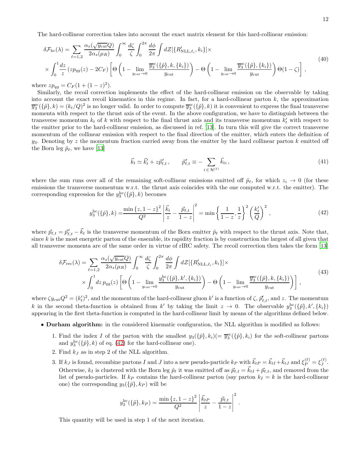The hard-collinear correction takes into account the exact matrix element for this hard-collinear emission:

$$
\delta \mathcal{F}_{\text{hc}}(\lambda) = \sum_{\ell=1,2} \frac{\alpha_s(\sqrt{y_{\text{cut}}}Q)}{2\alpha_s(\mu_R)} \int_0^\infty \frac{d\zeta}{\zeta} \int_0^{2\pi} \frac{d\phi}{2\pi} \int d\mathcal{Z} [\{R'_{\text{NLL},\ell_i}, k_i\}] \times \times \int_0^1 \frac{dz}{z} (zp_{qg}(z) - 2C_F) \left[ \Theta \left( 1 - \lim_{y_{\text{cut}} \to 0} \frac{\overline{y}_3^{\text{sc}}(\{\tilde{p}\}, k, \{k_i\})}{y_{\text{cut}}} \right) - \Theta \left( 1 - \lim_{y_{\text{cut}} \to 0} \frac{\overline{y}_3^{\text{sc}}(\{\tilde{p}\}, \{k_i\})}{y_{\text{cut}}} \right) \Theta(1 - \zeta) \right],
$$
\n(40)

where  $zp_{qg} = C_F(1 + (1 - z)^2)$ .

Similarly, the recoil correction implements the effect of the hard-collinear emission on the observable by taking into account the exact recoil kinematics in this regime. In fact, for a hard-collinear parton  $k$ , the approximation  $\overline{y}_3^{\text{sc}}(\{\tilde{p}\},k) = (k_t/Q)^2$  is no longer valid. In order to compute  $\overline{y}_3^{\text{sc}}(\{\tilde{p}\},k)$  it is convenient to express the final transverse momenta with respect to the thrust axis of the event. In the above configuration, we have to distinguish between the transverse momentum  $k_t$  of k with respect to the final thrust axis and its transverse momentum  $k'_t$  with respect to the emitter prior to the hard-collinear emission, as discussed in ref. [\[13\]](#page-4-18). In turn this will give the correct transverse momentum of the collinear emission with respect to the final direction of the emitter, which enters the definition of  $y_3$ . Denoting by z the momentum fraction carried away from the emitter by the hard collinear parton k emitted off the Born leg  $\tilde{p}_{\ell}$ , we have [\[13\]](#page-4-18)

$$
\vec{k}_t \simeq \vec{k}'_t + z \vec{p}'_{\ell,t}, \qquad \vec{p}'_{\ell,t} \equiv -\sum_{i \in \mathcal{H}^{(\ell)}} \vec{k}_{ti}, \qquad (41)
$$

where the sum runs over all of the remaining soft-collinear emissions emitted off  $\tilde{p}_\ell$ , for which  $z_i \to 0$  (for these emissions the transverse momentum w.r.t. the thrust axis coincides with the one computed w.r.t. the emitter). The corresponding expression for the  $y_3^{\text{hc}}(\{\tilde{p}\},k)$  becomes

$$
y_3^{\text{hc}}(\{\tilde{p}\},k) = \frac{\min\{z,1-z\}^2}{Q^2} \left| \frac{\vec{k}_t}{z} - \frac{\vec{p}_{\ell,t}}{1-z} \right|^2 = \min\left\{ \frac{1}{1-z}, \frac{1}{z} \right\}^2 \left( \frac{k_t'}{Q} \right)^2, \tag{42}
$$

<span id="page-12-0"></span>where  $\vec{p}_{\ell,t} = \vec{p}'_{\ell,t} - \vec{k}_t$  is the transverse momentum of the Born emitter  $\tilde{p}_\ell$  with respect to the thrust axis. Note that, since  $k$  is the most energetic parton of the ensemble, its rapidity fraction is by construction the largest of all given that all transverse momenta are of the same order in virtue of rIRC safety. The recoil correction then takes the form [\[13\]](#page-4-18)

$$
\delta \mathcal{F}_{\text{rec}}(\lambda) = \sum_{\ell=1,2} \frac{\alpha_s(\sqrt{y_{\text{cut}}}Q)}{2\alpha_s(\mu_R)} \int_0^\infty \frac{d\zeta}{\zeta} \int_0^{2\pi} \frac{d\phi}{2\pi} \int d\mathcal{Z} [\{R'_{\text{NLL},\ell_i}, k_i\}] \times \times \int_0^1 dz \, p_{qg}(z) \left[ \Theta \left( 1 - \lim_{y_{\text{cut}} \to 0} \frac{y_3^{\text{hc}}(\{\tilde{p}\}, k', \{k_i\})}{y_{\text{cut}}} \right) - \Theta \left( 1 - \lim_{y_{\text{cut}} \to 0} \frac{\overline{y}_3^{\text{cc}}(\{\tilde{p}\}, k, \{k_i\})}{y_{\text{cut}}} \right) \right],
$$
\n(43)

where  $\zeta y_{\text{cut}}Q^2 = (k'_t)^2$ , and the momentum of the hard-collinear gluon  $k'$  is a function of  $\zeta$ ,  $\vec{p}'_{\ell,t}$ , and z. The momentum k in the second theta-function is obtained from k' by taking the limit  $z \to 0$ . The observable  $y_3^{\text{hc}}(\{\tilde{p}\}, k', \{k_i\})$ appearing in the first theta-function is computed in the hard-collinear limit by means of the algorithms defined below.

- Durham algorithm: in the considered kinematic configuration, the NLL algorithm is modified as follows:
	- 1. Find the index I of the parton with the smallest  $y_3({{\tilde{p}}}, k_i)(= \overline{y}_3^{\text{sc}}({{\tilde{p}}}, k_i)$  for the soft-collinear partons and  $y_3^{\text{hc}}(\{\tilde{p}\},k)$  of eq. [\(42\)](#page-11-0) for the hard-collinear one).
	- 2. Find  $k_j$  as in step 2 of the NLL algorithm.
	- 3. If  $k_J$  is found, recombine partons I and J into a new pseudo-particle  $k_P$  with  $\vec{k}_{tP} = \vec{k}_{tI} + \vec{k}_{tJ}$  and  $\xi_P^{(\ell)} = \xi_J^{(\ell)}$  $J^{\left(\mathbf{\epsilon}\right)}$  . Otherwise,  $k_I$  is clustered with the Born leg  $\tilde{p}_{\ell}$  it was emitted off as  $\vec{p}_{\ell,t} = \vec{k}_{tI} + \vec{p}_{\ell,t}$ , and removed from the list of pseudo-particles. If  $k_P$  contains the hard-collinear parton (say parton  $k_I = k$  is the hard-collinear one) the corresponding  $y_3(\{\tilde{p}\}, k_P)$  will be

$$
y_3^{\rm hc}(\{\tilde{p}\}, k_P) = \frac{\min\{z, 1-z\}^2}{Q^2} \left| \frac{\vec{k}_{tP}}{z} - \frac{\vec{p}_{\ell,t}}{1-z} \right|^2.
$$

This quantity will be used in step 1 of the next iteration.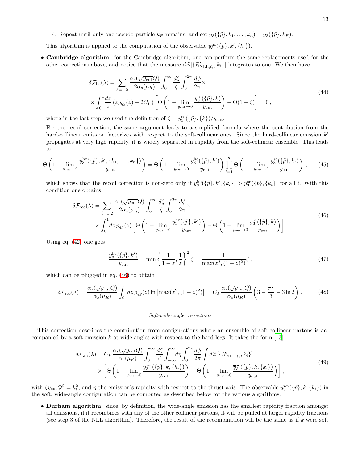4. Repeat until only one pseudo-particle  $k_P$  remains, and set  $y_3({{\tilde{p}}}, k_1, \ldots, k_n) = y_3({{\tilde{p}}}, k_P)$ .

This algorithm is applied to the computation of the observable  $y_3^{\text{hc}}(\{\tilde{p}\}, k', \{k_i\})$ .

• Cambridge algorithm: for the Cambridge algorithm, one can perform the same replacements used for the other corrections above, and notice that the measure  $d\mathcal{Z}[\{R'_{\text{NLL},\ell_i},k_i\}]$  integrates to one. We then have

<span id="page-13-0"></span>
$$
\delta \mathcal{F}_{\text{hc}}(\lambda) = \sum_{\ell=1,2} \frac{\alpha_s(\sqrt{y_{\text{cut}}}Q)}{2\alpha_s(\mu_R)} \int_0^\infty \frac{d\zeta}{\zeta} \int_0^{2\pi} \frac{d\phi}{2\pi} \times \times \int_0^1 \frac{dz}{z} (zp_{qg}(z) - 2C_F) \left[ \Theta \left( 1 - \lim_{y_{\text{cut}} \to 0} \frac{\overline{y}_3^{\text{sc}}(\{\tilde{p}\}, k)}{y_{\text{cut}}} \right) - \Theta(1 - \zeta) \right] = 0,
$$
\n(44)

where in the last step we used the definition of  $\zeta = y_3^{\rm sc}(\{\tilde{p}\}, \{k\})/y_{\rm cut}$ .

For the recoil correction, the same argument leads to a simplified formula where the contribution from the hard-collinear emission factorizes with respect to the soft-collinear ones. Since the hard-collinear emission  $k'$ propagates at very high rapidity, it is widely separated in rapidity from the soft-collinear ensemble. This leads to

$$
\Theta\left(1-\lim_{y_{\text{cut}}\to 0}\frac{y_3^{\text{hc}}(\{\tilde{p}\},k',\{k_1,\ldots,k_n\})}{y_{\text{cut}}}\right) = \Theta\left(1-\lim_{y_{\text{cut}}\to 0}\frac{y_3^{\text{hc}}(\{\tilde{p}\},k')}{y_{\text{cut}}}\right)\prod_{i=1}^n\Theta\left(1-\lim_{y_{\text{cut}}\to 0}\frac{y_3^{\text{sc}}(\{\tilde{p}\},k_i)}{y_{\text{cut}}}\right),\qquad(45)
$$

which shows that the recoil correction is non-zero only if  $y_3^{\text{hc}}(\{\tilde{p}\}, k', \{k_i\}) > y_3^{\text{sc}}(\{\tilde{p}\}, \{k_i\})$  for all i. With this condition one obtains

$$
\delta \mathcal{F}_{\text{rec}}(\lambda) = \sum_{\ell=1,2} \frac{\alpha_s(\sqrt{y_{\text{cut}}}Q)}{2\alpha_s(\mu_R)} \int_0^\infty \frac{d\zeta}{\zeta} \int_0^{2\pi} \frac{d\phi}{2\pi} \times \\ \times \int_0^1 dz \, p_{qg}(z) \left[ \Theta \left( 1 - \lim_{y_{\text{cut}} \to 0} \frac{y_3^{\text{hc}}(\{\tilde{p}\}, k')}{y_{\text{cut}}} \right) - \Theta \left( 1 - \lim_{y_{\text{cut}} \to 0} \frac{\overline{y}_3^{\text{sc}}(\{\tilde{p}\}, k)}{y_{\text{cut}}} \right) \right]. \tag{46}
$$

Using eq. [\(42\)](#page-11-0) one gets

$$
\frac{y_3^{\text{hc}}(\{\tilde{p}\},k')}{y_{\text{cut}}} = \min\left\{\frac{1}{1-z},\frac{1}{z}\right\}^2 \zeta = \frac{1}{\max(z^2,(1-z)^2)}\zeta\,,\tag{47}
$$

which can be plugged in eq. [\(46\)](#page-12-0) to obtain

$$
\delta \mathcal{F}_{\rm rec}(\lambda) = \frac{\alpha_s(\sqrt{y_{\rm cut}}Q)}{\alpha_s(\mu_R)} \int_0^1 dz \, p_{qg}(z) \ln \left[ \max(z^2, (1-z)^2) \right] = C_F \frac{\alpha_s(\sqrt{y_{\rm cut}}Q)}{\alpha_s(\mu_R)} \left( 3 - \frac{\pi^2}{3} - 3\ln 2 \right) \,. \tag{48}
$$

#### Soft-wide-angle corrections

This correction describes the contribution from configurations where an ensemble of soft-collinear partons is accompanied by a soft emission k at wide angles with respect to the hard legs. It takes the form  $[13]$ 

$$
\delta \mathcal{F}_{wa}(\lambda) = C_F \frac{\alpha_s(\sqrt{y_{\text{cut}}}Q)}{\alpha_s(\mu_R)} \int_0^\infty \frac{d\zeta}{\zeta} \int_{-\infty}^\infty d\eta \int_0^{2\pi} \frac{d\phi}{2\pi} \int d\mathcal{Z} [\{R'_{\text{NLL},\ell_i}, k_i\}]
$$
  
 
$$
\times \left[ \Theta \left( 1 - \lim_{y_{\text{cut}} \to 0} \frac{y_3^{wa}(\{\tilde{p}\}, k, \{k_i\})}{y_{\text{cut}}} \right) - \Theta \left( 1 - \lim_{y_{\text{cut}} \to 0} \frac{\overline{y}_3^{sc}(\{\tilde{p}\}, k, \{k_i\})}{y_{\text{cut}}} \right) \right],
$$
(49)

with  $\zeta y_{\text{cut}} Q^2 = k_t^2$ , and  $\eta$  the emission's rapidity with respect to the thrust axis. The observable  $y_3^{\text{wa}}(\{\tilde{p}\}, k, \{k_i\})$  in the soft, wide-angle configuration can be computed as described below for the various algorithms.

• Durham algorithm: since, by definition, the wide-angle emission has the smallest rapidity fraction amongst all emissions, if it recombines with any of the other collinear partons, it will be pulled at larger rapidity fractions (see step 3 of the NLL algorithm). Therefore, the result of the recombination will be the same as if k were soft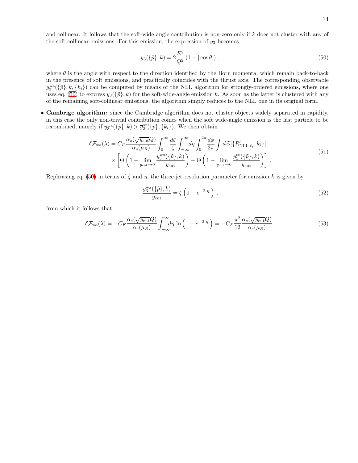14

and collinear. It follows that the soft-wide angle contribution is non-zero only if k does not cluster with any of the soft-collinear emissions. For this emission, the expression of  $y_3$  becomes

$$
y_3(\{\tilde{p}\},k) = 2\frac{E^2}{Q^2}(1 - |\cos\theta|) ,\qquad(50)
$$

where  $\theta$  is the angle with respect to the direction identified by the Born momenta, which remain back-to-back in the presence of soft emissions, and practically coincides with the thrust axis. The corresponding observable  $y_3^{\text{wa}}(\{\tilde{p}\},k,\{k_i\})$  can be computed by means of the NLL algorithm for strongly-ordered emissions, where one uses eq. [\(50\)](#page-13-0) to express  $y_3({\tilde{p}}, k)$  for the soft-wide-angle emission k. As soon as the latter is clustered with any of the remaining soft-collinear emissions, the algorithm simply reduces to the NLL one in its original form.

• Cambrige algorithm: since the Cambridge algorithm does not cluster objects widely separated in rapidity, in this case the only non-trivial contribution comes when the soft wide-angle emission is the last particle to be recombined, namely if  $y_3^{\text{wa}}(\{\tilde{p}\},k) > \overline{y}_3^{\text{sc}}(\{\tilde{p}\},\{k_i\})$ . We then obtain

$$
\delta \mathcal{F}_{wa}(\lambda) = C_F \frac{\alpha_s(\sqrt{y_{\text{cut}}}Q)}{\alpha_s(\mu_R)} \int_0^\infty \frac{d\zeta}{\zeta} \int_{-\infty}^\infty d\eta \int_0^{2\pi} \frac{d\phi}{2\pi} \int d\mathcal{Z} [\{R'_{\text{NLL},\ell_i}, k_i\}]
$$
  
 
$$
\times \left[ \Theta \left( 1 - \lim_{y_{\text{cut}} \to 0} \frac{y_3^{wa}(\{\tilde{p}\}, k)}{y_{\text{cut}}} \right) - \Theta \left( 1 - \lim_{y_{\text{cut}} \to 0} \frac{y_3^{sc}(\{\tilde{p}\}, k)}{y_{\text{cut}}} \right) \right].
$$
 (51)

<span id="page-14-0"></span>Rephrasing eq. [\(50\)](#page-13-0) in terms of  $\zeta$  and  $\eta$ , the three-jet resolution parameter for emission k is given by

$$
\frac{y_3^{\text{wa}}(\{\tilde{p}\},k)}{y_{\text{cut}}} = \zeta\left(1 + e^{-2|\eta|}\right),\tag{52}
$$

from which it follows that

<span id="page-14-2"></span><span id="page-14-1"></span>
$$
\delta \mathcal{F}_{\text{wa}}(\lambda) = -C_F \frac{\alpha_s(\sqrt{y_{\text{cut}}}Q)}{\alpha_s(\mu_R)} \int_{-\infty}^{\infty} d\eta \, \ln\left(1 + e^{-2|\eta|}\right) = -C_F \frac{\pi^2}{12} \frac{\alpha_s(\sqrt{y_{\text{cut}}}Q)}{\alpha_s(\mu_R)}.
$$
\n(53)